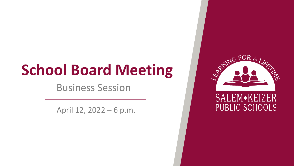# **School Board Meeting**

Business Session

April 12, 2022 – 6 p.m.

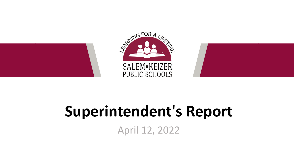

## **Superintendent's Report**

April 12, 2022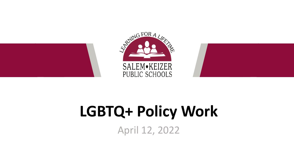

# **LGBTQ+ Policy Work**

April 12, 2022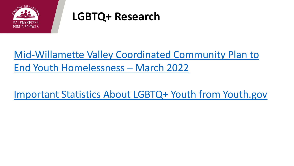

#### **LGBTQ+ Research**

#### [Mid-Willamette Valley Coordinated Community Plan to](https://salkeiz-my.sharepoint.com/:b:/g/personal/west_suzanne_salkeiz_k12_or_us/EcJf3HD3ix1HuftYtiCoO04B-QZTa8ZgJiWpnBYBDk0zmA?e=zDBwZt) End Youth Homelessness – March 2022

[Important Statistics About LGBTQ+ Youth from Youth.gov](https://youth.gov/youth-topics/lgbtq-youth/health-depression-and-suicide)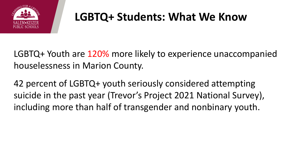

### **LGBTQ+ Students: What We Know**

LGBTQ+ Youth are 120% more likely to experience unaccompanied houselessness in Marion County.

42 percent of LGBTQ+ youth seriously considered attempting suicide in the past year (Trevor's Project 2021 National Survey), including more than half of transgender and nonbinary youth.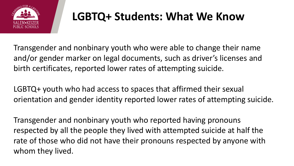

#### **LGBTQ+ Students: What We Know**

Transgender and nonbinary youth who were able to change their name and/or gender marker on legal documents, such as driver's licenses and birth certificates, reported lower rates of attempting suicide.

LGBTQ+ youth who had access to spaces that affirmed their sexual orientation and gender identity reported lower rates of attempting suicide.

Transgender and nonbinary youth who reported having pronouns respected by all the people they lived with attempted suicide at half the rate of those who did not have their pronouns respected by anyone with whom they lived.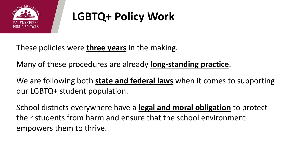

## **LGBTQ+ Policy Work**

These policies were **three years** in the making.

Many of these procedures are already **long-standing practice**.

We are following both **state and federal laws** when it comes to supporting our LGBTQ+ student population.

School districts everywhere have a **legal and moral obligation** to protect their students from harm and ensure that the school environment empowers them to thrive.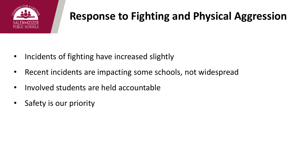

#### **Response to Fighting and Physical Aggression**

- Incidents of fighting have increased slightly
- Recent incidents are impacting some schools, not widespread
- Involved students are held accountable
- Safety is our priority